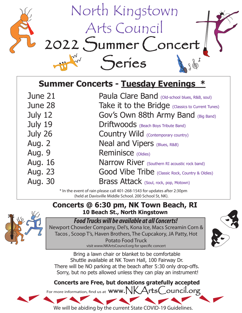

| <b>Summer Concerts - Tuesday Evenings *</b> |  |  |
|---------------------------------------------|--|--|
|                                             |  |  |

| June 21       | Paula Clare Band (Old-school blues, R&B, soul)          |
|---------------|---------------------------------------------------------|
| June 28       | Take it to the Bridge (Classics to Current Tunes)       |
| July 12       | Gov's Own 88th Army Band (Big Band)                     |
| July 19       | Driftwoods (Beach Boys Tribute Band)                    |
| July 26       | <b>Country Wild</b> (Contemporary country)              |
| Aug. 2        | Neal and Vipers (Blues, R&B)                            |
| <b>Aug. 9</b> | Reminisce (Oldies)                                      |
| Aug. 16       | Narrow River (Southern RI acoustic rock band)           |
| Aug. 23       | <b>Good Vibe Tribe</b> (Classic Rock, Country & Oldies) |
| Aug. 30       | Brass Attack (Soul, rock, pop, Motown)                  |
|               |                                                         |

\* In the event of rain please call 401-268-1543 for updates after 2:30pm (held at Davisville Middle School. 200 School St, NK).

## **Concerts @ 6:30 pm, NK Town Beach, RI 10 Beach St., North Kingstown**



## *Food Trucks will be available at all Concerts!*

Newport Chowder Company, Del's, Kona Ice, Macs Screamin Corn & Tacos , Scoop T's, Haven Brothers, The Cupcakory, JA Patty, Hot Potato Food Truck visit www.NKArtsCouncil.org for specific concert



Bring a lawn chair or blanket to be comfortable Shuttle available at NK Town Hall, 100 Fairway Dr. There will be NO parking at the beach after 5:30 only drop-offs. Sorry, but no pets allowed unless they can play an instrument!

**Concerts are Free, but donations gratefully accepted**

For more information, find us at  $www.\nNKArtsCount.org$